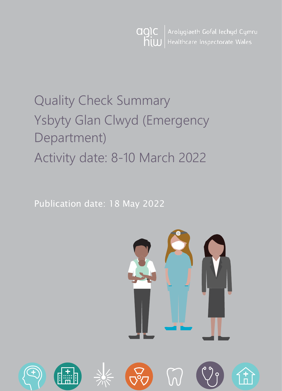Arolygiaeth Gofal Iechyd Cymru agic Healthcare Inspectorate Wales hiw

# Quality Check Summary Ysbyty Glan Clwyd (Emergency Department) Activity date: 8-10 March 2022

Publication date: 18 May 2022



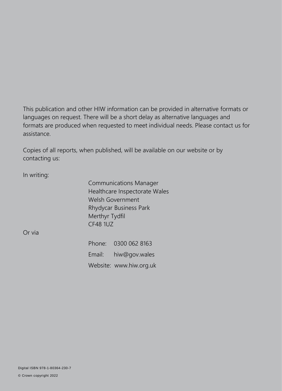This publication and other HIW information can be provided in alternative formats or languages on request. There will be a short delay as alternative languages and formats are produced when requested to meet individual needs. Please contact us for assistance.

Copies of all reports, when published, will be available on our website or by contacting us:

In writing:

Communications Manager Healthcare Inspectorate Wales Welsh Government Rhydycar Business Park Merthyr Tydfil CF48 1UZ

Or via

Phone: 0300 062 8163 Email: [hiw@gov.wales](mailto:hiw@gov.wales) Website: [www.hiw.org.uk](http://www.hiw.org.uk/)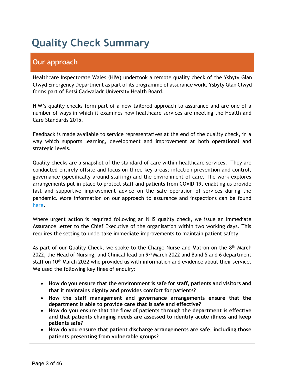## **Quality Check Summary**

## **Our approach**

Healthcare Inspectorate Wales (HIW) undertook a remote quality check of the Ysbyty Glan Clwyd Emergency Department as part of its programme of assurance work. Ysbyty Glan Clwyd forms part of Betsi Cadwaladr University Health Board.

HIW's quality checks form part of a new tailored approach to assurance and are one of a number of ways in which it examines how healthcare services are meeting the Health and Care Standards 2015.

Feedback is made available to service representatives at the end of the quality check, in a way which supports learning, development and improvement at both operational and strategic levels.

Quality checks are a snapshot of the standard of care within healthcare services. They are conducted entirely offsite and focus on three key areas; infection prevention and control, governance (specifically around staffing) and the environment of care. The work explores arrangements put in place to protect staff and patients from COVID 19, enabling us provide fast and supportive improvement advice on the safe operation of services during the pandemic. More information on our approach to assurance and inspections can be found [here.](https://hiw.org.uk/covid-19-response-and-our-approach-assurance-and-inspection)

Where urgent action is required following an NHS quality check, we issue an Immediate Assurance letter to the Chief Executive of the organisation within two working days. This requires the setting to undertake immediate improvements to maintain patient safety.

As part of our Quality Check, we spoke to the Charge Nurse and Matron on the 8<sup>th</sup> March 2022, the Head of Nursing, and Clinical lead on 9<sup>th</sup> March 2022 and Band 5 and 6 department staff on 10<sup>th</sup> March 2022 who provided us with information and evidence about their service. We used the following key lines of enquiry:

- **How do you ensure that the environment is safe for staff, patients and visitors and that it maintains dignity and provides comfort for patients?**
- **How the staff management and governance arrangements ensure that the department is able to provide care that is safe and effective?**
- **How do you ensure that the flow of patients through the department is effective and that patients changing needs are assessed to identify acute illness and keep patients safe?**
- **How do you ensure that patient discharge arrangements are safe, including those patients presenting from vulnerable groups?**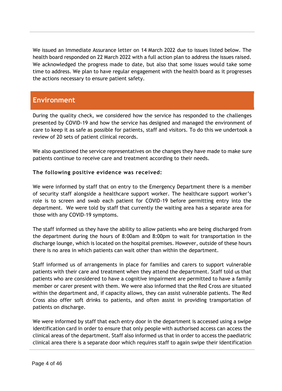We issued an Immediate Assurance letter on 14 March 2022 due to issues listed below. The health board responded on 22 March 2022 with a full action plan to address the issues raised. We acknowledged the progress made to date, but also that some issues would take some time to address. We plan to have regular engagement with the health board as it progresses the actions necessary to ensure patient safety.

## **Environment**

During the quality check, we considered how the service has responded to the challenges presented by COVID-19 and how the service has designed and managed the environment of care to keep it as safe as possible for patients, staff and visitors. To do this we undertook a review of 20 sets of patient clinical records.

We also questioned the service representatives on the changes they have made to make sure patients continue to receive care and treatment according to their needs.

### **The following positive evidence was received:**

We were informed by staff that on entry to the Emergency Department there is a member of security staff alongside a healthcare support worker. The healthcare support worker's role is to screen and swab each patient for COVID-19 before permitting entry into the department. We were told by staff that currently the waiting area has a separate area for those with any COVID-19 symptoms.

The staff informed us they have the ability to allow patients who are being discharged from the department during the hours of 8:00am and 8:00pm to wait for transportation in the discharge lounge, which is located on the hospital premises. However, outside of these hours there is no area in which patients can wait other than within the department.

Staff informed us of arrangements in place for families and carers to support vulnerable patients with their care and treatment when they attend the department. Staff told us that patients who are considered to have a cognitive impairment are permitted to have a family member or carer present with them. We were also informed that the Red Cross are situated within the department and, if capacity allows, they can assist vulnerable patients. The Red Cross also offer soft drinks to patients, and often assist in providing transportation of patients on discharge.

We were informed by staff that each entry door in the department is accessed using a swipe identification card in order to ensure that only people with authorised access can access the clinical areas of the department. Staff also informed us that in order to access the paediatric clinical area there is a separate door which requires staff to again swipe their identification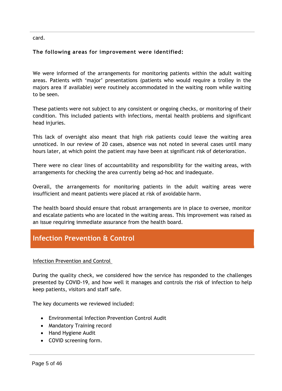card.

## **The following areas for improvement were identified:**

We were informed of the arrangements for monitoring patients within the adult waiting areas. Patients with 'major' presentations (patients who would require a trolley in the majors area if available) were routinely accommodated in the waiting room while waiting to be seen.

These patients were not subject to any consistent or ongoing checks, or monitoring of their condition. This included patients with infections, mental health problems and significant head injuries.

This lack of oversight also meant that high risk patients could leave the waiting area unnoticed. In our review of 20 cases, absence was not noted in several cases until many hours later, at which point the patient may have been at significant risk of deterioration.

There were no clear lines of accountability and responsibility for the waiting areas, with arrangements for checking the area currently being ad-hoc and inadequate.

Overall, the arrangements for monitoring patients in the adult waiting areas were insufficient and meant patients were placed at risk of avoidable harm.

The health board should ensure that robust arrangements are in place to oversee, monitor and escalate patients who are located in the waiting areas. This improvement was raised as an issue requiring immediate assurance from the health board.

## **Infection Prevention & Control**

### Infection Prevention and Control

During the quality check, we considered how the service has responded to the challenges presented by COVID-19, and how well it manages and controls the risk of infection to help keep patients, visitors and staff safe.

The key documents we reviewed included:

- Environmental Infection Prevention Control Audit
- Mandatory Training record
- Hand Hygiene Audit
- COVID screening form.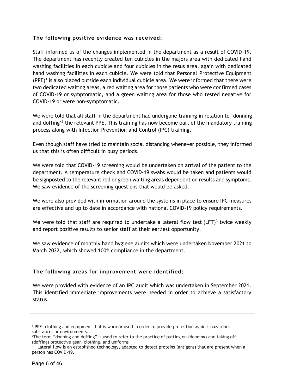#### **The following positive evidence was received:**

Staff informed us of the changes implemented in the department as a result of COVID-19. The department has recently created ten cubicles in the majors area with dedicated hand washing facilities in each cubicle and four cubicles in the resus area, again with dedicated hand washing facilities in each cubicle. We were told that Personal Protective Equipment  $(PE)^1$  is also placed outside each individual cubicle area. We were informed that there were two dedicated waiting areas, a red waiting area for those patients who were confirmed cases of COVID-19 or symptomatic, and a green waiting area for those who tested negative for COVID-19 or were non-symptomatic.

We were told that all staff in the department had undergone training in relation to 'donning and doffing'<sup>2</sup> the relevant PPE. This training has now become part of the mandatory training process along with Infection Prevention and Control (IPC) training.

Even though staff have tried to maintain social distancing whenever possible, they informed us that this is often difficult in busy periods.

We were told that COVID-19 screening would be undertaken on arrival of the patient to the department. A temperature check and COVID-19 swabs would be taken and patients would be signposted to the relevant red or green waiting areas dependent on results and symptoms. We saw evidence of the screening questions that would be asked.

We were also provided with information around the systems in place to ensure IPC measures are effective and up to date in accordance with national COVID-19 policy requirements.

We were told that staff are required to undertake a lateral flow test (LFT) $3$  twice weekly and report positive results to senior staff at their earliest opportunity.

We saw evidence of monthly hand hygiene audits which were undertaken November 2021 to March 2022, which showed 100% compliance in the department.

### **The following areas for improvement were identified:**

We were provided with evidence of an IPC audit which was undertaken in September 2021. This identified immediate improvements were needed in order to achieve a satisfactory status.

 $\overline{a}$ 

<sup>1</sup> PPE- clothing and equipment that is worn or used in order to provide protection against hazardous substances or environments.

<sup>&</sup>lt;sup>2</sup>The term "donning and doffing" is used to refer to the practice of putting on (donning) and taking off (doffing) protective gear, clothing, and uniforms

<sup>3</sup> Lateral flow is an established technology, adapted to detect proteins (antigens) that are present when a person has COVID-19.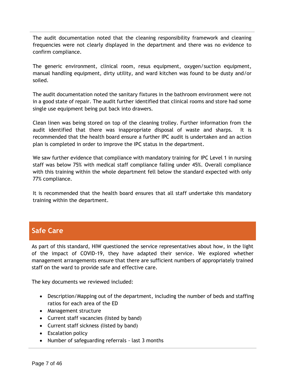The audit documentation noted that the cleaning responsibility framework and cleaning frequencies were not clearly displayed in the department and there was no evidence to confirm compliance.

The generic environment, clinical room, resus equipment, oxygen/suction equipment, manual handling equipment, dirty utility, and ward kitchen was found to be dusty and/or soiled.

The audit documentation noted the sanitary fixtures in the bathroom environment were not in a good state of repair. The audit further identified that clinical rooms and store had some single use equipment being put back into drawers.

Clean linen was being stored on top of the cleaning trolley. Further information from the audit identified that there was inappropriate disposal of waste and sharps. It is recommended that the health board ensure a further IPC audit is undertaken and an action plan is completed in order to improve the IPC status in the department.

We saw further evidence that compliance with mandatory training for IPC Level 1 in nursing staff was below 75% with medical staff compliance falling under 45%. Overall compliance with this training within the whole department fell below the standard expected with only 77% compliance.

It is recommended that the health board ensures that all staff undertake this mandatory training within the department.

## **Safe Care**

As part of this standard, HIW questioned the service representatives about how, in the light of the impact of COVID-19, they have adapted their service. We explored whether management arrangements ensure that there are sufficient numbers of appropriately trained staff on the ward to provide safe and effective care.

The key documents we reviewed included:

- Description/Mapping out of the department, including the number of beds and staffing ratios for each area of the ED
- Management structure
- Current staff vacancies (listed by band)
- Current staff sickness (listed by band)
- Escalation policy
- Number of safeguarding referrals last 3 months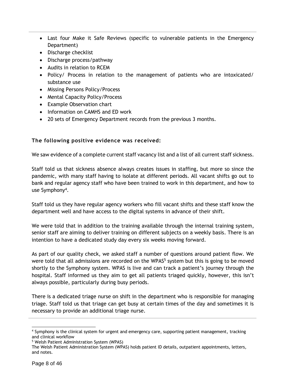- Last four Make it Safe Reviews (specific to vulnerable patients in the Emergency Department)
- Discharge checklist
- Discharge process/pathway
- Audits in relation to RCEM
- Policy/ Process in relation to the management of patients who are intoxicated/ substance use
- Missing Persons Policy/Process
- Mental Capacity Policy/Process
- Example Observation chart
- Information on CAMHS and ED work
- 20 sets of Emergency Department records from the previous 3 months.

### **The following positive evidence was received:**

We saw evidence of a complete current staff vacancy list and a list of all current staff sickness.

Staff told us that sickness absence always creates issues in staffing, but more so since the pandemic, with many staff having to isolate at different periods. All vacant shifts go out to bank and regular agency staff who have been trained to work in this department, and how to use Symphony<sup>4</sup>.

Staff told us they have regular agency workers who fill vacant shifts and these staff know the department well and have access to the digital systems in advance of their shift.

We were told that in addition to the training available through the internal training system, senior staff are aiming to deliver training on different subjects on a weekly basis. There is an intention to have a dedicated study day every six weeks moving forward.

As part of our quality check, we asked staff a number of questions around patient flow. We were told that all admissions are recorded on the WPAS<sup>5</sup> system but this is going to be moved shortly to the Symphony system. WPAS is live and can track a patient's journey through the hospital. Staff informed us they aim to get all patients triaged quickly, however, this isn't always possible, particularly during busy periods.

There is a dedicated triage nurse on shift in the department who is responsible for managing triage. Staff told us that triage can get busy at certain times of the day and sometimes it is necessary to provide an additional triage nurse.

<sup>-</sup><sup>4</sup> Symphony is the clinical system for urgent and emergency care, supporting patient management, tracking and clinical workflow

<sup>5</sup> Welsh Patient Administration System (WPAS)

The Welsh Patient Administration System (WPAS) holds patient ID details, outpatient appointments, letters, and notes.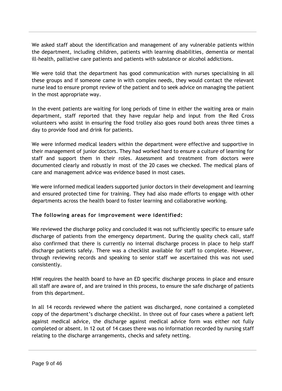We asked staff about the identification and management of any vulnerable patients within the department, including children, patients with learning disabilities, dementia or mental ill-health, palliative care patients and patients with substance or alcohol addictions.

We were told that the department has good communication with nurses specialising in all these groups and if someone came in with complex needs, they would contact the relevant nurse lead to ensure prompt review of the patient and to seek advice on managing the patient in the most appropriate way.

In the event patients are waiting for long periods of time in either the waiting area or main department, staff reported that they have regular help and input from the Red Cross volunteers who assist in ensuring the food trolley also goes round both areas three times a day to provide food and drink for patients.

We were informed medical leaders within the department were effective and supportive in their management of junior doctors. They had worked hard to ensure a culture of learning for staff and support them in their roles. Assessment and treatment from doctors were documented clearly and robustly in most of the 20 cases we checked. The medical plans of care and management advice was evidence based in most cases.

We were informed medical leaders supported junior doctors in their development and learning and ensured protected time for training. They had also made efforts to engage with other departments across the health board to foster learning and collaborative working.

### **The following areas for improvement were identified:**

We reviewed the discharge policy and concluded it was not sufficiently specific to ensure safe discharge of patients from the emergency department. During the quality check call, staff also confirmed that there is currently no internal discharge process in place to help staff discharge patients safely. There was a checklist available for staff to complete. However, through reviewing records and speaking to senior staff we ascertained this was not used consistently.

HIW requires the health board to have an ED specific discharge process in place and ensure all staff are aware of, and are trained in this process, to ensure the safe discharge of patients from this department.

In all 14 records reviewed where the patient was discharged, none contained a completed copy of the department's discharge checklist. In three out of four cases where a patient left against medical advice, the discharge against medical advice form was either not fully completed or absent. In 12 out of 14 cases there was no information recorded by nursing staff relating to the discharge arrangements, checks and safety netting.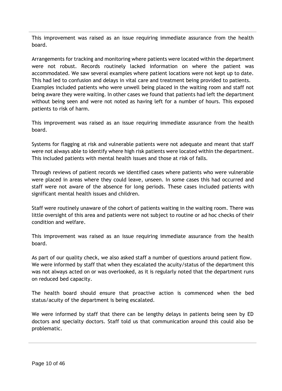This improvement was raised as an issue requiring immediate assurance from the health board.

Arrangements for tracking and monitoring where patients were located within the department were not robust. Records routinely lacked information on where the patient was accommodated. We saw several examples where patient locations were not kept up to date. This had led to confusion and delays in vital care and treatment being provided to patients. Examples included patients who were unwell being placed in the waiting room and staff not being aware they were waiting. In other cases we found that patients had left the department without being seen and were not noted as having left for a number of hours. This exposed patients to risk of harm.

This improvement was raised as an issue requiring immediate assurance from the health board.

Systems for flagging at risk and vulnerable patients were not adequate and meant that staff were not always able to identify where high risk patients were located within the department. This included patients with mental health issues and those at risk of falls.

Through reviews of patient records we identified cases where patients who were vulnerable were placed in areas where they could leave, unseen. In some cases this had occurred and staff were not aware of the absence for long periods. These cases included patients with significant mental health issues and children.

Staff were routinely unaware of the cohort of patients waiting in the waiting room. There was little oversight of this area and patients were not subject to routine or ad hoc checks of their condition and welfare.

This improvement was raised as an issue requiring immediate assurance from the health board.

As part of our quality check, we also asked staff a number of questions around patient flow. We were informed by staff that when they escalated the acuity/status of the department this was not always acted on or was overlooked, as it is regularly noted that the department runs on reduced bed capacity.

The health board should ensure that proactive action is commenced when the bed status/acuity of the department is being escalated.

We were informed by staff that there can be lengthy delays in patients being seen by ED doctors and specialty doctors. Staff told us that communication around this could also be problematic.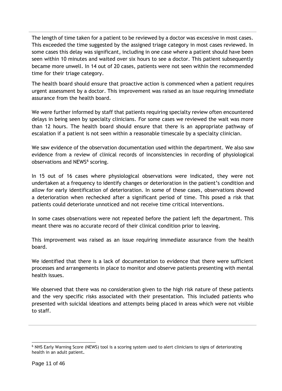The length of time taken for a patient to be reviewed by a doctor was excessive in most cases. This exceeded the time suggested by the assigned triage category in most cases reviewed. In some cases this delay was significant, including in one case where a patient should have been seen within 10 minutes and waited over six hours to see a doctor. This patient subsequently became more unwell. In 14 out of 20 cases, patients were not seen within the recommended time for their triage category.

The health board should ensure that proactive action is commenced when a patient requires urgent assessment by a doctor. This improvement was raised as an issue requiring immediate assurance from the health board.

We were further informed by staff that patients requiring specialty review often encountered delays in being seen by specialty clinicians. For some cases we reviewed the wait was more than 12 hours. The health board should ensure that there is an appropriate pathway of escalation if a patient is not seen within a reasonable timescale by a specialty clinician.

We saw evidence of the observation documentation used within the department. We also saw evidence from a review of clinical records of inconsistencies in recording of physiological observations and NEWS<sup>6</sup> scoring.

In 15 out of 16 cases where physiological observations were indicated, they were not undertaken at a frequency to identify changes or deterioration in the patient's condition and allow for early identification of deterioration. In some of these cases, observations showed a deterioration when rechecked after a significant period of time. This posed a risk that patients could deteriorate unnoticed and not receive time critical interventions.

In some cases observations were not repeated before the patient left the department. This meant there was no accurate record of their clinical condition prior to leaving.

This improvement was raised as an issue requiring immediate assurance from the health board.

We identified that there is a lack of documentation to evidence that there were sufficient processes and arrangements in place to monitor and observe patients presenting with mental health issues.

We observed that there was no consideration given to the high risk nature of these patients and the very specific risks associated with their presentation. This included patients who presented with suicidal ideations and attempts being placed in areas which were not visible to staff.

-

<sup>6</sup> NHS Early Warning Score (NEWS) tool is a scoring system used to alert clinicians to signs of deteriorating health in an adult patient**.**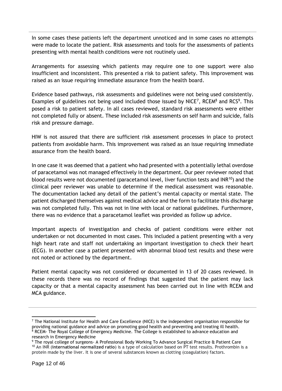In some cases these patients left the department unnoticed and in some cases no attempts were made to locate the patient. Risk assessments and tools for the assessments of patients presenting with mental health conditions were not routinely used.

Arrangements for assessing which patients may require one to one support were also insufficient and inconsistent. This presented a risk to patient safety. This improvement was raised as an issue requiring immediate assurance from the health board.

Evidence based pathways, risk assessments and guidelines were not being used consistently. Examples of guidelines not being used included those issued by NICE<sup>7</sup>, RCEM<sup>8</sup> and RCS<sup>9</sup>. This posed a risk to patient safety. In all cases reviewed, standard risk assessments were either not completed fully or absent. These included risk assessments on self harm and suicide, falls risk and pressure damage.

HIW is not assured that there are sufficient risk assessment processes in place to protect patients from avoidable harm. This improvement was raised as an issue requiring immediate assurance from the health board.

In one case it was deemed that a patient who had presented with a potentially lethal overdose of paracetamol was not managed effectively in the department. Our peer reviewer noted that blood results were not documented (paracetamol level, liver function tests and INR<sup>10</sup>) and the clinical peer reviewer was unable to determine if the medical assessment was reasonable. The documentation lacked any detail of the patient's mental capacity or mental state. The patient discharged themselves against medical advice and the form to facilitate this discharge was not completed fully. This was not in line with local or national guidelines. Furthermore, there was no evidence that a paracetamol leaflet was provided as follow up advice.

Important aspects of investigation and checks of patient conditions were either not undertaken or not documented in most cases. This included a patient presenting with a very high heart rate and staff not undertaking an important investigation to check their heart (ECG). In another case a patient presented with abnormal blood test results and these were not noted or actioned by the department.

Patient mental capacity was not considered or documented in 13 of 20 cases reviewed. In these records there was no record of findings that suggested that the patient may lack capacity or that a mental capacity assessment has been carried out in line with RCEM and MCA guidance.

-

 $<sup>7</sup>$  The National Institute for Health and Care Excellence (NICE) is the independent organisation responsible for</sup> providing national guidance and advice on promoting good health and preventing and treating ill health. <sup>8</sup> RCEM- The Royal College of Emergency Medicine. The College is established to advance education and research in Emergency Medicine

<sup>9</sup> The royal college of surgeons- A Professional Body Working To Advance Surgical Practice & Patient Care <sup>10</sup> An INR (**international normalized ratio**) is a type of calculation based on PT test results. Prothrombin is a protein made by the liver. It is one of several substances known as clotting (coagulation) factors.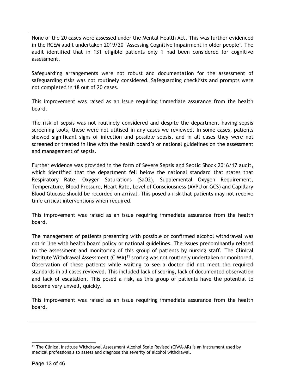None of the 20 cases were assessed under the Mental Health Act. This was further evidenced in the RCEM audit undertaken 2019/20 'Assessing Cognitive Impairment in older people'. The audit identified that in 131 eligible patients only 1 had been considered for cognitive assessment.

Safeguarding arrangements were not robust and documentation for the assessment of safeguarding risks was not routinely considered. Safeguarding checklists and prompts were not completed in 18 out of 20 cases.

This improvement was raised as an issue requiring immediate assurance from the health board.

The risk of sepsis was not routinely considered and despite the department having sepsis screening tools, these were not utilised in any cases we reviewed. In some cases, patients showed significant signs of infection and possible sepsis, and in all cases they were not screened or treated in line with the health board's or national guidelines on the assessment and management of sepsis.

Further evidence was provided in the form of Severe Sepsis and Septic Shock 2016/17 audit, which identified that the department fell below the national standard that states that Respiratory Rate, Oxygen Saturations (SaO2), Supplemental Oxygen Requirement, Temperature, Blood Pressure, Heart Rate, Level of Consciousness (AVPU or GCS) and Capillary Blood Glucose should be recorded on arrival. This posed a risk that patients may not receive time critical interventions when required.

This improvement was raised as an issue requiring immediate assurance from the health board.

The management of patients presenting with possible or confirmed alcohol withdrawal was not in line with health board policy or national guidelines. The issues predominantly related to the assessment and monitoring of this group of patients by nursing staff. The Clinical Institute Withdrawal Assessment (CIWA)<sup>11</sup> scoring was not routinely undertaken or monitored. Observation of these patients while waiting to see a doctor did not meet the required standards in all cases reviewed. This included lack of scoring, lack of documented observation and lack of escalation. This posed a risk, as this group of patients have the potential to become very unwell, quickly.

This improvement was raised as an issue requiring immediate assurance from the health board.

-

<sup>&</sup>lt;sup>11</sup> The Clinical Institute Withdrawal Assessment Alcohol Scale Revised (CIWA-AR) is an instrument used by medical professionals to assess and diagnose the severity of alcohol withdrawal.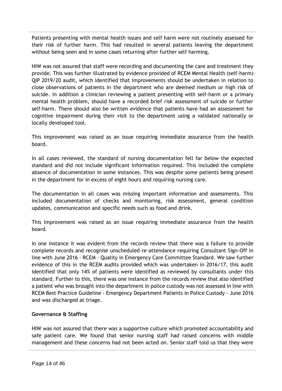Patients presenting with mental health issues and self harm were not routinely assessed for their risk of further harm. This had resulted in several patients leaving the department without being seen and in some cases returning after further self harming.

HIW was not assured that staff were recording and documenting the care and treatment they provide. This was further illustrated by evidence provided of RCEM Mental Health (self-harm) QIP 2019/20 audit, which identified that improvements should be undertaken in relation to close observations of patients in the department who are deemed medium or high risk of suicide. In addition a clinician reviewing a patient presenting with self-harm or a primary mental health problem, should have a recorded brief risk assessment of suicide or further self-harm. There should also be written evidence that patients have had an assessment for cognitive impairment during their visit to the department using a validated nationally or locally developed tool.

This improvement was raised as an issue requiring immediate assurance from the health board.

In all cases reviewed, the standard of nursing documentation fell far below the expected standard and did not include significant information required. This included the complete absence of documentation in some instances. This was despite some patients being present in the department for in excess of eight hours and requiring nursing care.

The documentation in all cases was missing important information and assessments. This included documentation of checks and monitoring, risk assessment, general condition updates, communication and specific needs such as food and drink.

This improvement was raised as an issue requiring immediate assurance from the health board.

In one instance it was evident from the records review that there was a failure to provide complete records and recognise unscheduled re-attendance requiring Consultant Sign-Off in line with June 2016 - RCEM - Quality in Emergency Care Committee Standard. We saw further evidence of this in the RCEM audits provided which was undertaken in 2016/17, this audit identified that only 14% of patients were identified as reviewed by consultants under this standard. Further to this, there was one instance from the records review that also identified a patient who was brought into the department in police custody was not assessed in line with RCEM Best Practice Guideline - Emergency Department Patients in Police Custody - June 2016 and was discharged at triage.

#### **Governance & Staffing**

HIW was not assured that there was a supportive culture which promoted accountability and safe patient care. We found that senior nursing staff had raised concerns with middle management and these concerns had not been acted on. Senior staff told us that they were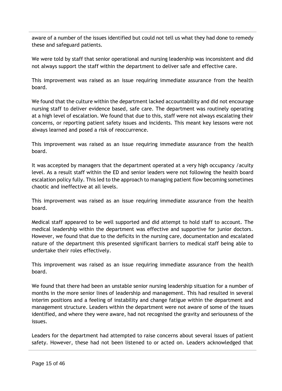aware of a number of the issues identified but could not tell us what they had done to remedy these and safeguard patients.

We were told by staff that senior operational and nursing leadership was inconsistent and did not always support the staff within the department to deliver safe and effective care.

This improvement was raised as an issue requiring immediate assurance from the health board.

We found that the culture within the department lacked accountability and did not encourage nursing staff to deliver evidence based, safe care. The department was routinely operating at a high level of escalation. We found that due to this, staff were not always escalating their concerns, or reporting patient safety issues and incidents. This meant key lessons were not always learned and posed a risk of reoccurrence.

This improvement was raised as an issue requiring immediate assurance from the health board.

It was accepted by managers that the department operated at a very high occupancy /acuity level. As a result staff within the ED and senior leaders were not following the health board escalation policy fully. This led to the approach to managing patient flow becoming sometimes chaotic and ineffective at all levels.

This improvement was raised as an issue requiring immediate assurance from the health board.

Medical staff appeared to be well supported and did attempt to hold staff to account. The medical leadership within the department was effective and supportive for junior doctors. However, we found that due to the deficits in the nursing care, documentation and escalated nature of the department this presented significant barriers to medical staff being able to undertake their roles effectively.

This improvement was raised as an issue requiring immediate assurance from the health board.

We found that there had been an unstable senior nursing leadership situation for a number of months in the more senior lines of leadership and management. This had resulted in several interim positions and a feeling of instability and change fatigue within the department and management structure. Leaders within the department were not aware of some of the issues identified, and where they were aware, had not recognised the gravity and seriousness of the issues.

Leaders for the department had attempted to raise concerns about several issues of patient safety. However, these had not been listened to or acted on. Leaders acknowledged that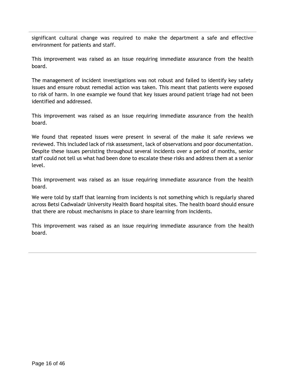significant cultural change was required to make the department a safe and effective environment for patients and staff.

This improvement was raised as an issue requiring immediate assurance from the health board.

The management of incident investigations was not robust and failed to identify key safety issues and ensure robust remedial action was taken. This meant that patients were exposed to risk of harm. In one example we found that key issues around patient triage had not been identified and addressed.

This improvement was raised as an issue requiring immediate assurance from the health board.

We found that repeated issues were present in several of the make it safe reviews we reviewed. This included lack of risk assessment, lack of observations and poor documentation. Despite these issues persisting throughout several incidents over a period of months, senior staff could not tell us what had been done to escalate these risks and address them at a senior level.

This improvement was raised as an issue requiring immediate assurance from the health board.

We were told by staff that learning from incidents is not something which is regularly shared across Betsi Cadwaladr University Health Board hospital sites. The health board should ensure that there are robust mechanisms in place to share learning from incidents.

This improvement was raised as an issue requiring immediate assurance from the health board.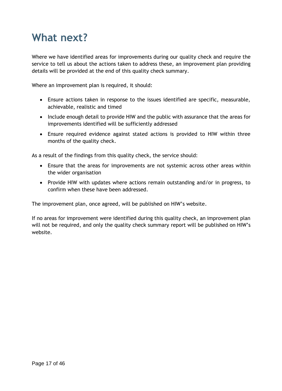## **What next?**

Where we have identified areas for improvements during our quality check and require the service to tell us about the actions taken to address these, an improvement plan providing details will be provided at the end of this quality check summary.

Where an improvement plan is required, it should:

- Ensure actions taken in response to the issues identified are specific, measurable, achievable, realistic and timed
- Include enough detail to provide HIW and the public with assurance that the areas for improvements identified will be sufficiently addressed
- Ensure required evidence against stated actions is provided to HIW within three months of the quality check.

As a result of the findings from this quality check, the service should:

- Ensure that the areas for improvements are not systemic across other areas within the wider organisation
- Provide HIW with updates where actions remain outstanding and/or in progress, to confirm when these have been addressed.

The improvement plan, once agreed, will be published on HIW's website.

If no areas for improvement were identified during this quality check, an improvement plan will not be required, and only the quality check summary report will be published on HIW's website.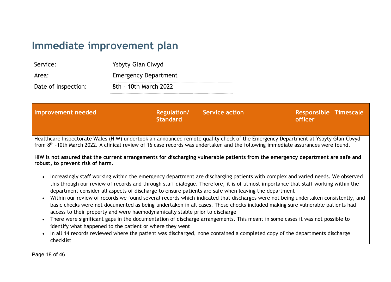## **Immediate improvement plan**

| Service:            | Ysbyty Glan Clwyd           |
|---------------------|-----------------------------|
| Area:               | <b>Emergency Department</b> |
| Date of Inspection: | 8th - 10th March 2022       |

| Improvement needed                                                                                                                                                                                                                                                                                                                                                                                                                                                                                                                                                                                                                                                                                                                                                                                                                                                                                                                                                                                                                                                                                  | <b>Regulation/</b><br>Standard | <b>Service action</b> | <b>Responsible Timescale</b><br>officer |  |
|-----------------------------------------------------------------------------------------------------------------------------------------------------------------------------------------------------------------------------------------------------------------------------------------------------------------------------------------------------------------------------------------------------------------------------------------------------------------------------------------------------------------------------------------------------------------------------------------------------------------------------------------------------------------------------------------------------------------------------------------------------------------------------------------------------------------------------------------------------------------------------------------------------------------------------------------------------------------------------------------------------------------------------------------------------------------------------------------------------|--------------------------------|-----------------------|-----------------------------------------|--|
|                                                                                                                                                                                                                                                                                                                                                                                                                                                                                                                                                                                                                                                                                                                                                                                                                                                                                                                                                                                                                                                                                                     |                                |                       |                                         |  |
| Healthcare Inspectorate Wales (HIW) undertook an announced remote quality check of the Emergency Department at Ysbyty Glan Clwyd<br>from 8 <sup>th</sup> -10th March 2022. A clinical review of 16 case records was undertaken and the following immediate assurances were found.                                                                                                                                                                                                                                                                                                                                                                                                                                                                                                                                                                                                                                                                                                                                                                                                                   |                                |                       |                                         |  |
| HIW is not assured that the current arrangements for discharging vulnerable patients from the emergency department are safe and<br>robust, to prevent risk of harm.<br>Increasingly staff working within the emergency department are discharging patients with complex and varied needs. We observed<br>this through our review of records and through staff dialogue. Therefore, it is of utmost importance that staff working within the<br>department consider all aspects of discharge to ensure patients are safe when leaving the department<br>Within our review of records we found several records which indicated that discharges were not being undertaken consistently, and<br>basic checks were not documented as being undertaken in all cases. These checks included making sure vulnerable patients had<br>access to their property and were haemodynamically stable prior to discharge<br>There were significant gaps in the documentation of discharge arrangements. This meant in some cases it was not possible to<br>identify what happened to the patient or where they went |                                |                       |                                         |  |
| In all 14 records reviewed where the patient was discharged, none contained a completed copy of the departments discharge<br>checklist                                                                                                                                                                                                                                                                                                                                                                                                                                                                                                                                                                                                                                                                                                                                                                                                                                                                                                                                                              |                                |                       |                                         |  |

Page 18 of 46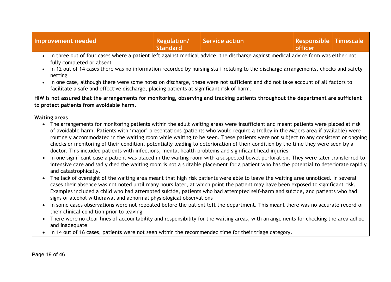| Improvement needed                                                                                                                                            | <b>Regulation/</b><br><b>Standard</b> | Service action | <b>Responsible Timescale</b><br>officer |  |
|---------------------------------------------------------------------------------------------------------------------------------------------------------------|---------------------------------------|----------------|-----------------------------------------|--|
| In three out of four cases where a patient left against medical advice, the discharge against medical advice form was either not<br>fully completed or absent |                                       |                |                                         |  |
| <u>la 49 avit af 44 saasa thaga waa ga information gaagdad by gwysigo staff galation ta tha disebegge aggenomenta shaelys and safaty.</u>                     |                                       |                |                                         |  |

- In 12 out of 14 cases there was no information recorded by nursing staff relating to the discharge arrangements, checks and safety netting
- In one case, although there were some notes on discharge, these were not sufficient and did not take account of all factors to facilitate a safe and effective discharge, placing patients at significant risk of harm.

**HIW is not assured that the arrangements for monitoring, observing and tracking patients throughout the department are sufficient to protect patients from avoidable harm.** 

#### **Waiting areas**

- The arrangements for monitoring patients within the adult waiting areas were insufficient and meant patients were placed at risk of avoidable harm. Patients with 'major' presentations (patients who would require a trolley in the Majors area if available) were routinely accommodated in the waiting room while waiting to be seen. These patients were not subject to any consistent or ongoing checks or monitoring of their condition, potentially leading to deterioration of their condition by the time they were seen by a doctor. This included patients with infections, mental health problems and significant head injuries
- In one significant case a patient was placed in the waiting room with a suspected bowel perforation. They were later transferred to intensive care and sadly died the waiting room is not a suitable placement for a patient who has the potential to deteriorate rapidly and catastrophically.
- The lack of oversight of the waiting area meant that high risk patients were able to leave the waiting area unnoticed. In several cases their absence was not noted until many hours later, at which point the patient may have been exposed to significant risk. Examples included a child who had attempted suicide, patients who had attempted self-harm and suicide, and patients who had signs of alcohol withdrawal and abnormal physiological observations
- In some cases observations were not repeated before the patient left the department. This meant there was no accurate record of their clinical condition prior to leaving
- There were no clear lines of accountability and responsibility for the waiting areas, with arrangements for checking the area adhoc and inadequate
- In 14 out of 16 cases, patients were not seen within the recommended time for their triage category.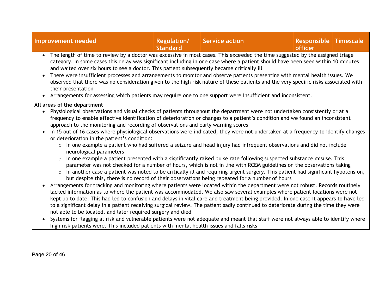| Improvement needed                                                                                                            | <b>Regulation/</b><br><b>Standard</b> | Service action | <b>Responsible Timescale</b><br><b>officer</b> |  |
|-------------------------------------------------------------------------------------------------------------------------------|---------------------------------------|----------------|------------------------------------------------|--|
| The length of time to review by a doctor was excessive in most cases. This exceeded the time suggested by the assigned triage |                                       |                |                                                |  |

- Dy a doctor was excessive in most cases. This exceeded the time suggested by the assigned triage category. In some cases this delay was significant including in one case where a patient should have been seen within 10 minutes and waited over six hours to see a doctor. This patient subsequently became critically ill
- There were insufficient processes and arrangements to monitor and observe patients presenting with mental health issues. We observed that there was no consideration given to the high risk nature of these patients and the very specific risks associated with their presentation
- Arrangements for assessing which patients may require one to one support were insufficient and inconsistent.

#### **All areas of the department**

- Physiological observations and visual checks of patients throughout the department were not undertaken consistently or at a frequency to enable effective identification of deterioration or changes to a patient's condition and we found an inconsistent approach to the monitoring and recording of observations and early warning scores
- In 15 out of 16 cases where physiological observations were indicated, they were not undertaken at a frequency to identify changes or deterioration in the patient's condition:
	- o In one example a patient who had suffered a seizure and head injury had infrequent observations and did not include neurological parameters
	- o In one example a patient presented with a significantly raised pulse rate following suspected substance misuse. This parameter was not checked for a number of hours, which is not in line with RCEM guidelines on the observations taking
	- o In another case a patient was noted to be critically ill and requiring urgent surgery. This patient had significant hypotension, but despite this, there is no record of their observations being repeated for a number of hours
- Arrangements for tracking and monitoring where patients were located within the department were not robust. Records routinely lacked information as to where the patient was accommodated. We also saw several examples where patient locations were not kept up to date. This had led to confusion and delays in vital care and treatment being provided. In one case it appears to have led to a significant delay in a patient receiving surgical review. The patient sadly continued to deteriorate during the time they were not able to be located, and later required surgery and died
- Systems for flagging at risk and vulnerable patients were not adequate and meant that staff were not always able to identify where high risk patients were. This included patients with mental health issues and falls risks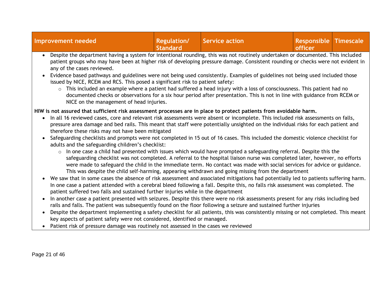| <b>Improvement needed</b>                                                                                                                                                                                                                                                                                                                                                                                                                                                                                                                                                                                                                                                                                                                                                                                                                                                                                                                                                                                                                                                                                                                                                                                                                                                                                                                                                                                                                                                                                                                                                                                                                         | <b>Regulation/</b><br><b>Standard</b> | <b>Service action</b>                                                                                                                                                                                                                                                                                                                                                                                                                                                              | <b>Responsible Timescale</b><br>officer |  |
|---------------------------------------------------------------------------------------------------------------------------------------------------------------------------------------------------------------------------------------------------------------------------------------------------------------------------------------------------------------------------------------------------------------------------------------------------------------------------------------------------------------------------------------------------------------------------------------------------------------------------------------------------------------------------------------------------------------------------------------------------------------------------------------------------------------------------------------------------------------------------------------------------------------------------------------------------------------------------------------------------------------------------------------------------------------------------------------------------------------------------------------------------------------------------------------------------------------------------------------------------------------------------------------------------------------------------------------------------------------------------------------------------------------------------------------------------------------------------------------------------------------------------------------------------------------------------------------------------------------------------------------------------|---------------------------------------|------------------------------------------------------------------------------------------------------------------------------------------------------------------------------------------------------------------------------------------------------------------------------------------------------------------------------------------------------------------------------------------------------------------------------------------------------------------------------------|-----------------------------------------|--|
| Despite the department having a system for intentional rounding, this was not routinely undertaken or documented. This included<br>$\bullet$<br>patient groups who may have been at higher risk of developing pressure damage. Consistent rounding or checks were not evident in<br>any of the cases reviewed.<br>Evidence based pathways and guidelines were not being used consistently. Examples of guidelines not being used included those<br>issued by NICE, RCEM and RCS. This posed a significant risk to patient safety:<br>$\circ$<br>NICE on the management of head injuries.                                                                                                                                                                                                                                                                                                                                                                                                                                                                                                                                                                                                                                                                                                                                                                                                                                                                                                                                                                                                                                                          |                                       | This included an example where a patient had suffered a head injury with a loss of consciousness. This patient had no<br>documented checks or observations for a six hour period after presentation. This is not in line with guidance from RCEM or                                                                                                                                                                                                                                |                                         |  |
| HIW is not assured that sufficient risk assessment processes are in place to protect patients from avoidable harm.<br>In all 16 reviewed cases, core and relevant risk assessments were absent or incomplete. This included risk assessments on falls,<br>$\bullet$<br>pressure area damage and bed rails. This meant that staff were potentially unsighted on the individual risks for each patient and<br>therefore these risks may not have been mitigated<br>Safeguarding checklists and prompts were not completed in 15 out of 16 cases. This included the domestic violence checklist for<br>$\bullet$<br>adults and the safeguarding children's checklist:<br>$\circ$<br>• We saw that in some cases the absence of risk assessment and associated mitigations had potentially led to patients suffering harm.<br>In one case a patient attended with a cerebral bleed following a fall. Despite this, no falls risk assessment was completed. The<br>patient suffered two falls and sustained further injuries while in the department<br>In another case a patient presented with seizures. Despite this there were no risk assessments present for any risks including bed<br>rails and falls. The patient was subsequently found on the floor following a seizure and sustained further injuries<br>Despite the department implementing a safety checklist for all patients, this was consistently missing or not completed. This meant<br>$\bullet$<br>key aspects of patient safety were not considered, identified or managed.<br>Patient risk of pressure damage was routinely not assessed in the cases we reviewed<br>$\bullet$ |                                       | In one case a child had presented with issues which would have prompted a safeguarding referral. Despite this the<br>safeguarding checklist was not completed. A referral to the hospital liaison nurse was completed later, however, no efforts<br>were made to safeguard the child in the immediate term. No contact was made with social services for advice or guidance.<br>This was despite the child self-harming, appearing withdrawn and going missing from the department |                                         |  |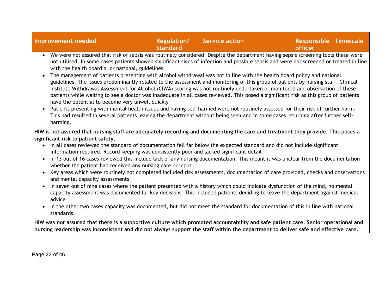| <b>Improvement needed</b>                                                                                                                                                                                                                                                                                                                                                                                                                                                                                                                                                                                                                                                                                                                                                                                                                                                                                                                                                                                                                                                                                                                                                                                                                                                                                                                                                                   | Regulation/<br><b>Standard</b> | <b>Service action</b> | <b>Responsible Timescale</b><br>officer |  |
|---------------------------------------------------------------------------------------------------------------------------------------------------------------------------------------------------------------------------------------------------------------------------------------------------------------------------------------------------------------------------------------------------------------------------------------------------------------------------------------------------------------------------------------------------------------------------------------------------------------------------------------------------------------------------------------------------------------------------------------------------------------------------------------------------------------------------------------------------------------------------------------------------------------------------------------------------------------------------------------------------------------------------------------------------------------------------------------------------------------------------------------------------------------------------------------------------------------------------------------------------------------------------------------------------------------------------------------------------------------------------------------------|--------------------------------|-----------------------|-----------------------------------------|--|
| We were not assured that risk of sepsis was routinely considered. Despite the department having sepsis screening tools these were<br>not utilised. In some cases patients showed significant signs of infection and possible sepsis and were not screened or treated in line<br>with the health board's, or national, guidelines<br>The management of patients presenting with alcohol withdrawal was not in line with the health board policy and national<br>$\bullet$<br>guidelines. The issues predominantly related to the assessment and monitoring of this group of patients by nursing staff. Clinical<br>Institute Withdrawal Assessment for Alcohol (CIWA) scoring was not routinely undertaken or monitored and observation of these<br>patients while waiting to see a doctor was inadequate in all cases reviewed. This posed a significant risk as this group of patients<br>have the potential to become very unwell quickly<br>Patients presenting with mental health issues and having self-harmed were not routinely assessed for their risk of further harm.<br>This had resulted in several patients leaving the department without being seen and in some cases returning after further self-<br>harming.                                                                                                                                                              |                                |                       |                                         |  |
| HIW is not assured that nursing staff are adequately recording and documenting the care and treatment they provide. This poses a<br>significant risk to patient safety.<br>In all cases reviewed the standard of documentation fell far below the expected standard and did not include significant<br>$\bullet$<br>information required. Record keeping was consistently poor and lacked significant detail<br>In 13 out of 16 cases reviewed this include lack of any nursing documentation. This meant it was unclear from the documentation<br>$\bullet$<br>whether the patient had received any nursing care or input<br>Key areas which were routinely not completed included risk assessments, documentation of care provided, checks and observations<br>$\bullet$<br>and mental capacity assessments<br>In seven out of nine cases where the patient presented with a history which could indicate dysfunction of the mind, no mental<br>capacity assessment was documented for key decisions. This included patients deciding to leave the department against medical<br>advice<br>In the other two cases capacity was documented, but did not meet the standard for documentation of this in line with national<br>$\bullet$<br>standards.<br>HIW was not assured that there is a supportive culture which promoted accountability and safe patient care. Senior operational and |                                |                       |                                         |  |
| nursing leadership was inconsistent and did not always support the staff within the department to deliver safe and effective care.                                                                                                                                                                                                                                                                                                                                                                                                                                                                                                                                                                                                                                                                                                                                                                                                                                                                                                                                                                                                                                                                                                                                                                                                                                                          |                                |                       |                                         |  |
|                                                                                                                                                                                                                                                                                                                                                                                                                                                                                                                                                                                                                                                                                                                                                                                                                                                                                                                                                                                                                                                                                                                                                                                                                                                                                                                                                                                             |                                |                       |                                         |  |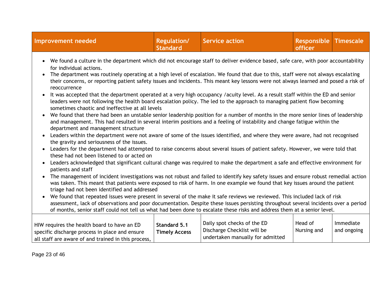| Improvement needed                                                                                                                                                                                                                                                                                                                                                                                                                                                                                                                                                                                                                                                                                                                                                                                                                                                                                                                                                                                                                                                                                                                                                                                                                  | <b>Regulation/</b><br><b>Standard</b> | <b>Service action</b>                                                                          | <b>Responsible Timescale</b><br>officer |                          |  |
|-------------------------------------------------------------------------------------------------------------------------------------------------------------------------------------------------------------------------------------------------------------------------------------------------------------------------------------------------------------------------------------------------------------------------------------------------------------------------------------------------------------------------------------------------------------------------------------------------------------------------------------------------------------------------------------------------------------------------------------------------------------------------------------------------------------------------------------------------------------------------------------------------------------------------------------------------------------------------------------------------------------------------------------------------------------------------------------------------------------------------------------------------------------------------------------------------------------------------------------|---------------------------------------|------------------------------------------------------------------------------------------------|-----------------------------------------|--------------------------|--|
| • We found a culture in the department which did not encourage staff to deliver evidence based, safe care, with poor accountability<br>for individual actions.<br>The department was routinely operating at a high level of escalation. We found that due to this, staff were not always escalating<br>their concerns, or reporting patient safety issues and incidents. This meant key lessons were not always learned and posed a risk of<br>reoccurrence<br>It was accepted that the department operated at a very high occupancy /acuity level. As a result staff within the ED and senior<br>$\bullet$<br>leaders were not following the health board escalation policy. The led to the approach to managing patient flow becoming<br>sometimes chaotic and ineffective at all levels<br>We found that there had been an unstable senior leadership position for a number of months in the more senior lines of leadership<br>and management. This had resulted in several interim positions and a feeling of instability and change fatigue within the<br>department and management structure<br>Leaders within the department were not aware of some of the issues identified, and where they were aware, had not recognised |                                       |                                                                                                |                                         |                          |  |
| the gravity and seriousness of the issues.<br>Leaders for the department had attempted to raise concerns about several issues of patient safety. However, we were told that<br>these had not been listened to or acted on<br>Leaders acknowledged that significant cultural change was required to make the department a safe and effective environment for                                                                                                                                                                                                                                                                                                                                                                                                                                                                                                                                                                                                                                                                                                                                                                                                                                                                         |                                       |                                                                                                |                                         |                          |  |
| patients and staff<br>The management of incident investigations was not robust and failed to identify key safety issues and ensure robust remedial action<br>was taken. This meant that patients were exposed to risk of harm. In one example we found that key issues around the patient<br>triage had not been identified and addressed<br>We found that repeated issues were present in several of the make it safe reviews we reviewed. This included lack of risk<br>$\bullet$<br>assessment, lack of observations and poor documentation. Despite these issues persisting throughout several incidents over a period<br>of months, senior staff could not tell us what had been done to escalate these risks and address them at a senior level.                                                                                                                                                                                                                                                                                                                                                                                                                                                                              |                                       |                                                                                                |                                         |                          |  |
| HIW requires the health board to have an ED<br>specific discharge process in place and ensure<br>all staff are aware of and trained in this process,                                                                                                                                                                                                                                                                                                                                                                                                                                                                                                                                                                                                                                                                                                                                                                                                                                                                                                                                                                                                                                                                                | Standard 5.1<br><b>Timely Access</b>  | Daily spot checks of the ED<br>Discharge Checklist will be<br>undertaken manually for admitted | Head of<br>Nursing and                  | Immediate<br>and ongoing |  |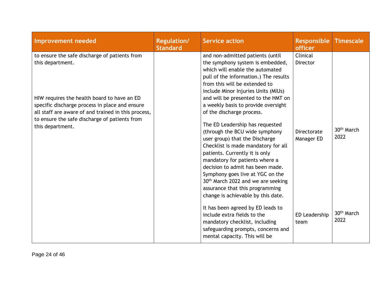| <b>Improvement needed</b>                                                                                                                                                  | <b>Regulation/</b><br><b>Standard</b> | <b>Service action</b>                                                                                                                                                                                                                                                                                                                                                                                                                                                                 | Responsible<br><b>officer</b> | <b>Timescale</b>               |
|----------------------------------------------------------------------------------------------------------------------------------------------------------------------------|---------------------------------------|---------------------------------------------------------------------------------------------------------------------------------------------------------------------------------------------------------------------------------------------------------------------------------------------------------------------------------------------------------------------------------------------------------------------------------------------------------------------------------------|-------------------------------|--------------------------------|
| to ensure the safe discharge of patients from<br>this department.<br>HIW requires the health board to have an ED                                                           |                                       | and non-admitted patients (until<br>the symphony system is embedded,<br>which will enable the automated<br>pull of the information.) The results<br>from this will be extended to<br>include Minor Injuries Units (MIUs)<br>and will be presented to the HMT on                                                                                                                                                                                                                       | Clinical<br>Director          |                                |
| specific discharge process in place and ensure<br>all staff are aware of and trained in this process,<br>to ensure the safe discharge of patients from<br>this department. |                                       | a weekly basis to provide oversight<br>of the discharge process.<br>The ED Leadership has requested<br>(through the BCU wide symphony<br>user group) that the Discharge<br>Checklist is made mandatory for all<br>patients. Currently it is only<br>mandatory for patients where a<br>decision to admit has been made.<br>Symphony goes live at YGC on the<br>30 <sup>th</sup> March 2022 and we are seeking<br>assurance that this programming<br>change is achievable by this date. | Directorate<br>Manager ED     | 30 <sup>th</sup> March<br>2022 |
|                                                                                                                                                                            |                                       | It has been agreed by ED leads to<br>include extra fields to the<br>mandatory checklist, including<br>safeguarding prompts, concerns and<br>mental capacity. This will be                                                                                                                                                                                                                                                                                                             | ED Leadership<br>team         | 30 <sup>th</sup> March<br>2022 |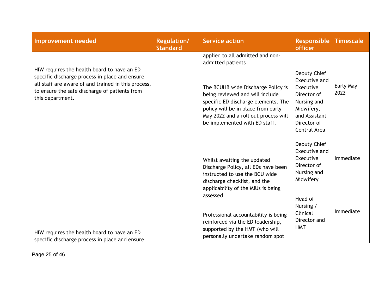| <b>Improvement needed</b>                                                                                                                                                                                                 | <b>Regulation/</b><br><b>Standard</b> | <b>Service action</b>                                                                                                                                                                                                                                                                | <b>Responsible</b><br><b>officer</b>                                                                                                   | <b>Timescale</b>  |
|---------------------------------------------------------------------------------------------------------------------------------------------------------------------------------------------------------------------------|---------------------------------------|--------------------------------------------------------------------------------------------------------------------------------------------------------------------------------------------------------------------------------------------------------------------------------------|----------------------------------------------------------------------------------------------------------------------------------------|-------------------|
| HIW requires the health board to have an ED<br>specific discharge process in place and ensure<br>all staff are aware of and trained in this process,<br>to ensure the safe discharge of patients from<br>this department. |                                       | applied to all admitted and non-<br>admitted patients<br>The BCUHB wide Discharge Policy is<br>being reviewed and will include<br>specific ED discharge elements. The<br>policy will be in place from early<br>May 2022 and a roll out process will<br>be implemented with ED staff. | Deputy Chief<br>Executive and<br>Executive<br>Director of<br>Nursing and<br>Midwifery,<br>and Assistant<br>Director of<br>Central Area | Early May<br>2022 |
|                                                                                                                                                                                                                           |                                       | Whilst awaiting the updated<br>Discharge Policy, all EDs have been<br>instructed to use the BCU wide<br>discharge checklist, and the<br>applicability of the MIUs is being<br>assessed                                                                                               | Deputy Chief<br>Executive and<br>Executive<br>Director of<br>Nursing and<br>Midwifery                                                  | Immediate         |
| HIW requires the health board to have an ED<br>specific discharge process in place and ensure                                                                                                                             |                                       | Professional accountability is being<br>reinforced via the ED leadership,<br>supported by the HMT (who will<br>personally undertake random spot                                                                                                                                      | Head of<br>Nursing /<br>Clinical<br>Director and<br><b>HMT</b>                                                                         | Immediate         |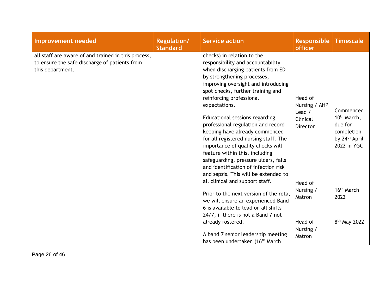| Improvement needed                                                                                                       | <b>Regulation/</b><br><b>Standard</b> | <b>Service action</b>                                                                                                                                                                                                                                                                                                                                                                                                                                                                                                                                                                                                                             | Responsible<br>officer                                                       | <b>Timescale</b>                                                                                          |
|--------------------------------------------------------------------------------------------------------------------------|---------------------------------------|---------------------------------------------------------------------------------------------------------------------------------------------------------------------------------------------------------------------------------------------------------------------------------------------------------------------------------------------------------------------------------------------------------------------------------------------------------------------------------------------------------------------------------------------------------------------------------------------------------------------------------------------------|------------------------------------------------------------------------------|-----------------------------------------------------------------------------------------------------------|
| all staff are aware of and trained in this process,<br>to ensure the safe discharge of patients from<br>this department. |                                       | checks) in relation to the<br>responsibility and accountability<br>when discharging patients from ED<br>by strengthening processes,<br>improving oversight and introducing<br>spot checks, further training and<br>reinforcing professional<br>expectations.<br>Educational sessions regarding<br>professional regulation and record<br>keeping have already commenced<br>for all registered nursing staff. The<br>importance of quality checks will<br>feature within this, including<br>safeguarding, pressure ulcers, falls<br>and identification of infection risk<br>and sepsis. This will be extended to<br>all clinical and support staff. | Head of<br>Nursing / AHP<br>Lead /<br>Clinical<br><b>Director</b><br>Head of | Commenced<br>10 <sup>th</sup> March,<br>due for<br>completion<br>by 24 <sup>th</sup> April<br>2022 in YGC |
|                                                                                                                          |                                       | Prior to the next version of the rota,<br>we will ensure an experienced Band<br>6 is available to lead on all shifts<br>24/7, if there is not a Band 7 not                                                                                                                                                                                                                                                                                                                                                                                                                                                                                        | Nursing /<br>Matron                                                          | 16 <sup>th</sup> March<br>2022                                                                            |
|                                                                                                                          |                                       | already rostered.<br>A band 7 senior leadership meeting<br>has been undertaken (16 <sup>th</sup> March                                                                                                                                                                                                                                                                                                                                                                                                                                                                                                                                            | Head of<br>Nursing /<br>Matron                                               | 8 <sup>th</sup> May 2022                                                                                  |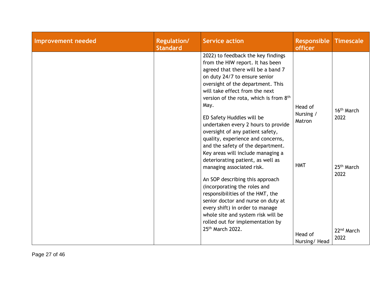| <b>Improvement needed</b> | <b>Regulation/</b><br><b>Standard</b> | <b>Service action</b>                                                                                                                                                                                                                                                                                                                                                                                                                                                                                                                                                                                                                                                                                                                                                                                                                         | <b>Responsible</b><br>officer                                           | <b>Timescale</b>                                                                                   |
|---------------------------|---------------------------------------|-----------------------------------------------------------------------------------------------------------------------------------------------------------------------------------------------------------------------------------------------------------------------------------------------------------------------------------------------------------------------------------------------------------------------------------------------------------------------------------------------------------------------------------------------------------------------------------------------------------------------------------------------------------------------------------------------------------------------------------------------------------------------------------------------------------------------------------------------|-------------------------------------------------------------------------|----------------------------------------------------------------------------------------------------|
|                           |                                       | 2022) to feedback the key findings<br>from the HIW report. It has been<br>agreed that there will be a band 7<br>on duty 24/7 to ensure senior<br>oversight of the department. This<br>will take effect from the next<br>version of the rota, which is from 8th<br>May.<br>ED Safety Huddles will be<br>undertaken every 2 hours to provide<br>oversight of any patient safety,<br>quality, experience and concerns,<br>and the safety of the department.<br>Key areas will include managing a<br>deteriorating patient, as well as<br>managing associated risk.<br>An SOP describing this approach<br>(incorporating the roles and<br>responsibilities of the HMT, the<br>senior doctor and nurse on duty at<br>every shift) in order to manage<br>whole site and system risk will be<br>rolled out for implementation by<br>25th March 2022. | Head of<br>Nursing /<br>Matron<br><b>HMT</b><br>Head of<br>Nursing/Head | 16 <sup>th</sup> March<br>2022<br>25 <sup>th</sup> March<br>2022<br>22 <sup>nd</sup> March<br>2022 |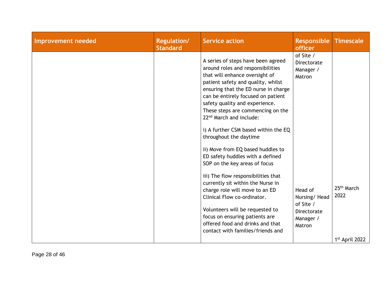| Improvement needed | <b>Regulation/</b><br><b>Standard</b> | <b>Service action</b>                                                                                                                                                                                                                                                                                                                                                                                                                                                                                                                                                                                                                                                                                                                                                                                              | <b>Responsible</b><br>officer                                                                                                 | <b>Timescale</b>               |
|--------------------|---------------------------------------|--------------------------------------------------------------------------------------------------------------------------------------------------------------------------------------------------------------------------------------------------------------------------------------------------------------------------------------------------------------------------------------------------------------------------------------------------------------------------------------------------------------------------------------------------------------------------------------------------------------------------------------------------------------------------------------------------------------------------------------------------------------------------------------------------------------------|-------------------------------------------------------------------------------------------------------------------------------|--------------------------------|
|                    |                                       | A series of steps have been agreed<br>around roles and responsibilities<br>that will enhance oversight of<br>patient safety and quality, whilst<br>ensuring that the ED nurse in charge<br>can be entirely focused on patient<br>safety quality and experience.<br>These steps are commencing on the<br>22 <sup>nd</sup> March and include:<br>i) A further CSM based within the EQ<br>throughout the daytime<br>ii) Move from EQ based huddles to<br>ED safety huddles with a defined<br>SOP on the key areas of focus<br>iii) The flow responsibilities that<br>currently sit within the Nurse in<br>charge role will move to an ED<br>Clinical Flow co-ordinator.<br>Volunteers will be requested to<br>focus on ensuring patients are<br>offered food and drinks and that<br>contact with families/friends and | of Site /<br>Directorate<br>Manager /<br>Matron<br>Head of<br>Nursing/Head<br>of Site /<br>Directorate<br>Manager /<br>Matron | 25 <sup>th</sup> March<br>2022 |
|                    |                                       |                                                                                                                                                                                                                                                                                                                                                                                                                                                                                                                                                                                                                                                                                                                                                                                                                    |                                                                                                                               | 1st April 2022                 |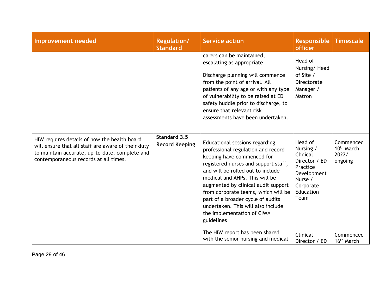| Improvement needed                                                                                                                                                                            | <b>Regulation/</b><br><b>Standard</b> | <b>Service action</b>                                                                                                                                                                                                                                                                                                                                                                                                  | <b>Responsible</b><br><b>officer</b>                                                                                      | <b>Timescale</b>                                        |
|-----------------------------------------------------------------------------------------------------------------------------------------------------------------------------------------------|---------------------------------------|------------------------------------------------------------------------------------------------------------------------------------------------------------------------------------------------------------------------------------------------------------------------------------------------------------------------------------------------------------------------------------------------------------------------|---------------------------------------------------------------------------------------------------------------------------|---------------------------------------------------------|
|                                                                                                                                                                                               |                                       | carers can be maintained,<br>escalating as appropriate<br>Discharge planning will commence<br>from the point of arrival. All<br>patients of any age or with any type<br>of vulnerability to be raised at ED<br>safety huddle prior to discharge, to<br>ensure that relevant risk<br>assessments have been undertaken.                                                                                                  | Head of<br>Nursing/Head<br>of Site /<br>Directorate<br>Manager /<br>Matron                                                |                                                         |
| HIW requires details of how the health board<br>will ensure that all staff are aware of their duty<br>to maintain accurate, up-to-date, complete and<br>contemporaneous records at all times. | Standard 3.5<br><b>Record Keeping</b> | Educational sessions regarding<br>professional regulation and record<br>keeping have commenced for<br>registered nurses and support staff,<br>and will be rolled out to include<br>medical and AHPs. This will be<br>augmented by clinical audit support<br>from corporate teams, which will be<br>part of a broader cycle of audits<br>undertaken. This will also include<br>the implementation of CIWA<br>guidelines | Head of<br>Nursing /<br>Clinical<br>Director / ED<br>Practice<br>Development<br>Nurse /<br>Corporate<br>Education<br>Team | Commenced<br>10 <sup>th</sup> March<br>2022/<br>ongoing |
|                                                                                                                                                                                               |                                       | The HIW report has been shared<br>with the senior nursing and medical                                                                                                                                                                                                                                                                                                                                                  | Clinical<br>Director / ED                                                                                                 | Commenced<br>16 <sup>th</sup> March                     |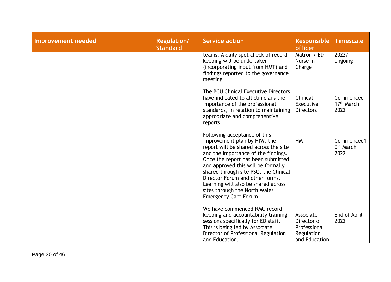| Improvement needed | <b>Regulation/</b><br><b>Standard</b> | <b>Service action</b>                                                                                                                                                                                                                                                                                                                                                                                 | <b>Responsible</b><br>officer                                           | <b>Timescale</b>                            |
|--------------------|---------------------------------------|-------------------------------------------------------------------------------------------------------------------------------------------------------------------------------------------------------------------------------------------------------------------------------------------------------------------------------------------------------------------------------------------------------|-------------------------------------------------------------------------|---------------------------------------------|
|                    |                                       | teams. A daily spot check of record<br>keeping will be undertaken<br>(incorporating input from HMT) and<br>findings reported to the governance<br>meeting                                                                                                                                                                                                                                             | Matron / ED<br>Nurse in<br>Charge                                       | 2022/<br>ongoing                            |
|                    |                                       | The BCU Clinical Executive Directors<br>have indicated to all clinicians the<br>importance of the professional<br>standards, in relation to maintaining<br>appropriate and comprehensive<br>reports.                                                                                                                                                                                                  | Clinical<br>Executive<br><b>Directors</b>                               | Commenced<br>17 <sup>th</sup> March<br>2022 |
|                    |                                       | Following acceptance of this<br>improvement plan by HIW, the<br>report will be shared across the site<br>and the importance of the findings.<br>Once the report has been submitted<br>and approved this will be formally<br>shared through site PSQ, the Clinical<br>Director Forum and other forms.<br>Learning will also be shared across<br>sites through the North Wales<br>Emergency Care Forum. | <b>HMT</b>                                                              | Commenced1<br>0 <sup>th</sup> March<br>2022 |
|                    |                                       | We have commenced NMC record<br>keeping and accountability training<br>sessions specifically for ED staff.<br>This is being led by Associate<br>Director of Professional Regulation<br>and Education.                                                                                                                                                                                                 | Associate<br>Director of<br>Professional<br>Regulation<br>and Education | End of April<br>2022                        |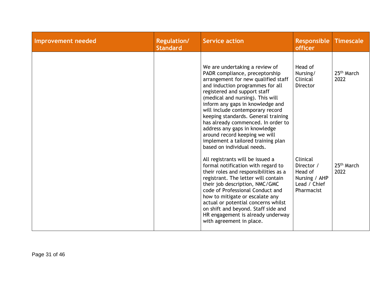| <b>Improvement needed</b> | <b>Regulation/</b><br><b>Standard</b> | <b>Service action</b>                                                                                                                                                                                                                                                                                                                                                                                                                                                                                      | <b>Responsible</b><br><b>officer</b>                                             | <b>Timescale</b>               |
|---------------------------|---------------------------------------|------------------------------------------------------------------------------------------------------------------------------------------------------------------------------------------------------------------------------------------------------------------------------------------------------------------------------------------------------------------------------------------------------------------------------------------------------------------------------------------------------------|----------------------------------------------------------------------------------|--------------------------------|
|                           |                                       | We are undertaking a review of<br>PADR compliance, preceptorship<br>arrangement for new qualified staff<br>and induction programmes for all<br>registered and support staff<br>(medical and nursing). This will<br>inform any gaps in knowledge and<br>will include contemporary record<br>keeping standards. General training<br>has already commenced. In order to<br>address any gaps in knowledge<br>around record keeping we will<br>implement a tailored training plan<br>based on individual needs. | Head of<br>Nursing/<br>Clinical<br><b>Director</b>                               | 25 <sup>th</sup> March<br>2022 |
|                           |                                       | All registrants will be issued a<br>formal notification with regard to<br>their roles and responsibilities as a<br>registrant. The letter will contain<br>their job description, NMC/GMC<br>code of Professional Conduct and<br>how to mitigate or escalate any<br>actual or potential concerns whilst<br>on shift and beyond. Staff side and<br>HR engagement is already underway<br>with agreement in place.                                                                                             | Clinical<br>Director /<br>Head of<br>Nursing / AHP<br>Lead / Chief<br>Pharmacist | 25 <sup>th</sup> March<br>2022 |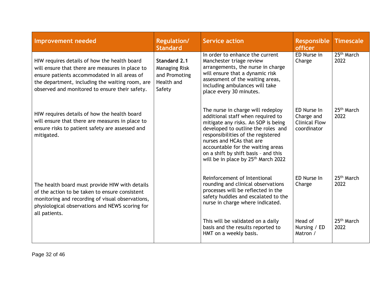| <b>Improvement needed</b>                                                                                                                                                                                                                            | <b>Regulation/</b><br><b>Standard</b>                                         | <b>Service action</b>                                                                                                                                                                                                                                                                                                                                 | <b>Responsible</b><br>officer                                    | <b>Timescale</b>               |
|------------------------------------------------------------------------------------------------------------------------------------------------------------------------------------------------------------------------------------------------------|-------------------------------------------------------------------------------|-------------------------------------------------------------------------------------------------------------------------------------------------------------------------------------------------------------------------------------------------------------------------------------------------------------------------------------------------------|------------------------------------------------------------------|--------------------------------|
| HIW requires details of how the health board<br>will ensure that there are measures in place to<br>ensure patients accommodated in all areas of<br>the department, including the waiting room, are<br>observed and monitored to ensure their safety. | Standard 2.1<br><b>Managing Risk</b><br>and Promoting<br>Health and<br>Safety | In order to enhance the current<br>Manchester triage review<br>arrangements, the nurse in charge<br>will ensure that a dynamic risk<br>assessment of the waiting areas,<br>including ambulances will take<br>place every 30 minutes.                                                                                                                  | ED Nurse in<br>Charge                                            | 25 <sup>th</sup> March<br>2022 |
| HIW requires details of how the health board<br>will ensure that there are measures in place to<br>ensure risks to patient safety are assessed and<br>mitigated.                                                                                     |                                                                               | The nurse in charge will redeploy<br>additional staff when required to<br>mitigate any risks. An SOP is being<br>developed to outline the roles and<br>responsibilities of the registered<br>nurses and HCAs that are<br>accountable for the waiting areas<br>on a shift by shift basis - and this<br>will be in place by 25 <sup>th</sup> March 2022 | ED Nurse In<br>Charge and<br><b>Clinical Flow</b><br>coordinator | 25 <sup>th</sup> March<br>2022 |
| The health board must provide HIW with details<br>of the action to be taken to ensure consistent<br>monitoring and recording of visual observations,<br>physiological observations and NEWS scoring for<br>all patients.                             |                                                                               | Reinforcement of Intentional<br>rounding and clinical observations<br>processes will be reflected in the<br>safety huddles and escalated to the<br>nurse in charge where indicated.                                                                                                                                                                   | ED Nurse In<br>Charge                                            | 25 <sup>th</sup> March<br>2022 |
|                                                                                                                                                                                                                                                      |                                                                               | This will be validated on a daily<br>basis and the results reported to<br>HMT on a weekly basis.                                                                                                                                                                                                                                                      | Head of<br>Nursing / ED<br>Matron /                              | 25 <sup>th</sup> March<br>2022 |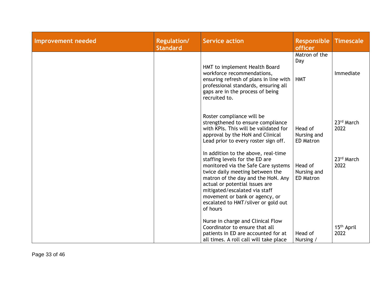| <b>Improvement needed</b> | <b>Regulation/</b><br><b>Standard</b> | <b>Service action</b>                                                                                                                                                                                                                                                                                                                         | <b>Responsible</b><br>officer              | <b>Timescale</b>               |
|---------------------------|---------------------------------------|-----------------------------------------------------------------------------------------------------------------------------------------------------------------------------------------------------------------------------------------------------------------------------------------------------------------------------------------------|--------------------------------------------|--------------------------------|
|                           |                                       | HMT to implement Health Board<br>workforce recommendations,<br>ensuring refresh of plans in line with<br>professional standards, ensuring all<br>gaps are in the process of being<br>recruited to.                                                                                                                                            | Matron of the<br>Day<br><b>HMT</b>         | Immediate                      |
|                           |                                       | Roster compliance will be<br>strengthened to ensure compliance<br>with KPIs. This will be validated for<br>approval by the HoN and Clinical<br>Lead prior to every roster sign off.                                                                                                                                                           | Head of<br>Nursing and<br><b>ED Matron</b> | 23rd March<br>2022             |
|                           |                                       | In addition to the above, real-time<br>staffing levels for the ED are<br>monitored via the Safe Care systems<br>twice daily meeting between the<br>matron of the day and the HoN. Any<br>actual or potential issues are<br>mitigated/escalated via staff<br>movement or bank or agency, or<br>escalated to HMT/silver or gold out<br>of hours | Head of<br>Nursing and<br><b>ED Matron</b> | 23rd March<br>2022             |
|                           |                                       | Nurse in charge and Clinical Flow<br>Coordinator to ensure that all<br>patients in ED are accounted for at<br>all times. A roll call will take place                                                                                                                                                                                          | Head of<br>Nursing /                       | 15 <sup>th</sup> April<br>2022 |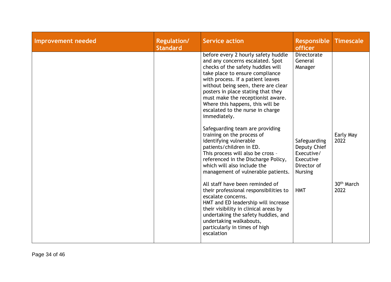| Improvement needed | Regulation/<br><b>Standard</b> | <b>Service action</b>                                                                                                                                                                                                                                                                                                                                                                                                                                                                                                                                                                                                                                                  | <b>Responsible</b><br><b>officer</b>                                                                                          | <b>Timescale</b>               |
|--------------------|--------------------------------|------------------------------------------------------------------------------------------------------------------------------------------------------------------------------------------------------------------------------------------------------------------------------------------------------------------------------------------------------------------------------------------------------------------------------------------------------------------------------------------------------------------------------------------------------------------------------------------------------------------------------------------------------------------------|-------------------------------------------------------------------------------------------------------------------------------|--------------------------------|
|                    |                                | before every 2 hourly safety huddle<br>and any concerns escalated. Spot<br>checks of the safety huddles will<br>take place to ensure compliance<br>with process. If a patient leaves<br>without being seen, there are clear<br>posters in place stating that they<br>must make the receptionist aware.<br>Where this happens, this will be<br>escalated to the nurse in charge<br>immediately.<br>Safeguarding team are providing<br>training on the process of<br>identifying vulnerable<br>patients/children in ED.<br>This process will also be cross -<br>referenced in the Discharge Policy,<br>which will also include the<br>management of vulnerable patients. | Directorate<br>General<br>Manager<br>Safeguarding<br>Deputy Chief<br>Executive/<br>Executive<br>Director of<br><b>Nursing</b> | Early May<br>2022              |
|                    |                                | All staff have been reminded of<br>their professional responsibilities to<br>escalate concerns.<br>HMT and ED leadership will increase<br>their visibility in clinical areas by<br>undertaking the safety huddles, and<br>undertaking walkabouts,<br>particularly in times of high<br>escalation                                                                                                                                                                                                                                                                                                                                                                       | <b>HMT</b>                                                                                                                    | 30 <sup>th</sup> March<br>2022 |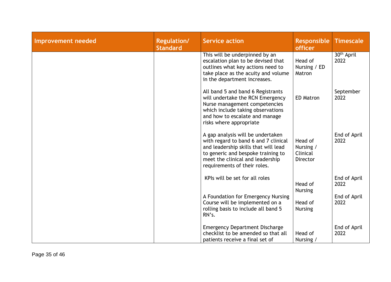| <b>Improvement needed</b> | <b>Regulation/</b><br><b>Standard</b> | <b>Service action</b>                                                                                                                                                                                                       | <b>Responsible</b><br>officer                       | <b>Timescale</b>               |
|---------------------------|---------------------------------------|-----------------------------------------------------------------------------------------------------------------------------------------------------------------------------------------------------------------------------|-----------------------------------------------------|--------------------------------|
|                           |                                       | This will be underpinned by an<br>escalation plan to be devised that<br>outlines what key actions need to<br>take place as the acuity and volume<br>in the department increases.                                            | Head of<br>Nursing / ED<br>Matron                   | 30 <sup>th</sup> April<br>2022 |
|                           |                                       | All band 5 and band 6 Registrants<br>will undertake the RCN Emergency<br>Nurse management competencies<br>which include taking observations<br>and how to escalate and manage<br>risks where appropriate                    | <b>ED Matron</b>                                    | September<br>2022              |
|                           |                                       | A gap analysis will be undertaken<br>with regard to band 6 and 7 clinical<br>and leadership skills that will lead<br>to generic and bespoke training to<br>meet the clinical and leadership<br>requirements of their roles. | Head of<br>Nursing /<br>Clinical<br><b>Director</b> | End of April<br>2022           |
|                           |                                       | KPIs will be set for all roles                                                                                                                                                                                              | Head of<br><b>Nursing</b>                           | End of April<br>2022           |
|                           |                                       | A Foundation for Emergency Nursing<br>Course will be implemented on a<br>rolling basis to include all band 5<br>RN's.                                                                                                       | Head of<br><b>Nursing</b>                           | End of April<br>2022           |
|                           |                                       | <b>Emergency Department Discharge</b><br>checklist to be amended so that all<br>patients receive a final set of                                                                                                             | Head of<br>Nursing /                                | End of April<br>2022           |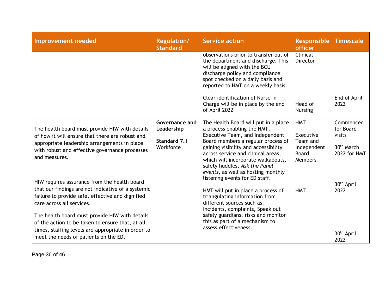| Improvement needed                                                                                                                                                                                | <b>Regulation/</b><br><b>Standard</b> | <b>Service action</b>                                                                                                                                                                                                     | <b>Responsible</b><br><b>officer</b>                                                                                                                                                                                                                            | <b>Timescale</b>                                   |                                        |
|---------------------------------------------------------------------------------------------------------------------------------------------------------------------------------------------------|---------------------------------------|---------------------------------------------------------------------------------------------------------------------------------------------------------------------------------------------------------------------------|-----------------------------------------------------------------------------------------------------------------------------------------------------------------------------------------------------------------------------------------------------------------|----------------------------------------------------|----------------------------------------|
|                                                                                                                                                                                                   |                                       | observations prior to transfer out of<br>the department and discharge. This<br>will be aligned with the BCU<br>discharge policy and compliance<br>spot checked on a daily basis and<br>reported to HMT on a weekly basis. | Clinical<br><b>Director</b>                                                                                                                                                                                                                                     |                                                    |                                        |
|                                                                                                                                                                                                   |                                       | Clear identification of Nurse in<br>Charge will be in place by the end<br>of April 2022                                                                                                                                   | Head of<br><b>Nursing</b>                                                                                                                                                                                                                                       | End of April<br>2022                               |                                        |
| The health board must provide HIW with details                                                                                                                                                    | Governance and<br>Leadership          | The Health Board will put in a place<br>a process enabling the HMT,<br>Executive Team, and Independent                                                                                                                    | <b>HMT</b><br>Executive                                                                                                                                                                                                                                         | Commenced<br>for Board<br>visits                   |                                        |
| of how it will ensure that there are robust and<br>appropriate leadership arrangements in place<br>with robust and effective governance processes<br>and measures.                                | Standard 7.1<br>Workforce             |                                                                                                                                                                                                                           | Board members a regular process of<br>gaining visibility and accessibility<br>across service and clinical areas,<br>which will incorporate walkabouts,<br>safety huddles, Ask the Panel<br>events, as well as hosting monthly<br>listening events for ED staff. | Team and<br>Independent<br><b>Board</b><br>Members | 30 <sup>th</sup> March<br>2022 for HMT |
| HIW requires assurance from the health board<br>that our findings are not indicative of a systemic<br>failure to provide safe, effective and dignified<br>care across all services.               |                                       | HMT will put in place a process of<br>triangulating information from<br>different sources such as:<br>Incidents, complaints, Speak out                                                                                    | <b>HMT</b>                                                                                                                                                                                                                                                      | 30 <sup>th</sup> April<br>2022                     |                                        |
| The health board must provide HIW with details<br>of the action to be taken to ensure that, at all<br>times, staffing levels are appropriate in order to<br>meet the needs of patients on the ED. |                                       | safely guardians, risks and monitor<br>this as part of a mechanism to<br>assess effectiveness.                                                                                                                            |                                                                                                                                                                                                                                                                 | 30 <sup>th</sup> April<br>2022                     |                                        |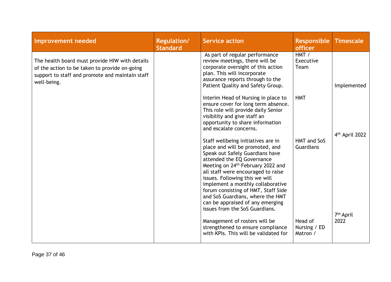| <b>Improvement needed</b>                                                                                                                                         | <b>Regulation/</b><br><b>Standard</b> | <b>Service action</b>                                                                                                                                                                                                                                                                                                                                                                                                                                 | <b>Responsible</b><br>officer       | <b>Timescale</b>           |
|-------------------------------------------------------------------------------------------------------------------------------------------------------------------|---------------------------------------|-------------------------------------------------------------------------------------------------------------------------------------------------------------------------------------------------------------------------------------------------------------------------------------------------------------------------------------------------------------------------------------------------------------------------------------------------------|-------------------------------------|----------------------------|
| The health board must provide HIW with details<br>of the action to be taken to provide on-going<br>support to staff and promote and maintain staff<br>well-being. |                                       | As part of regular performance<br>review meetings, there will be<br>corporate oversight of this action<br>plan. This will incorporate<br>assurance reports through to the<br>Patient Quality and Safety Group.                                                                                                                                                                                                                                        | HMT /<br>Executive<br>Team          | Implemented                |
|                                                                                                                                                                   |                                       | Interim Head of Nursing in place to<br>ensure cover for long term absence.<br>This role will provide daily Senior<br>visibility and give staff an<br>opportunity to share information<br>and escalate concerns.                                                                                                                                                                                                                                       | <b>HMT</b>                          | 4 <sup>th</sup> April 2022 |
|                                                                                                                                                                   |                                       | Staff wellbeing initiatives are in<br>place and will be promoted, and<br>Speak out Safely Guardians have<br>attended the EQ Governance<br>Meeting on 24 <sup>th</sup> February 2022 and<br>all staff were encouraged to raise<br>issues. Following this we will<br>implement a monthly collaborative<br>forum consisting of HMT, Staff Side<br>and SoS Guardians, where the HMT<br>can be appraised of any emerging<br>issues from the SoS Guardians. | HMT and SoS<br><b>Guardians</b>     | 7 <sup>th</sup> April      |
|                                                                                                                                                                   |                                       | Management of rosters will be<br>strengthened to ensure compliance<br>with KPIs. This will be validated for                                                                                                                                                                                                                                                                                                                                           | Head of<br>Nursing / ED<br>Matron / | 2022                       |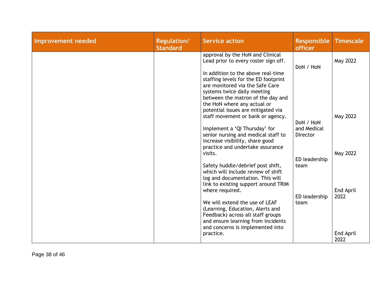| Improvement needed | <b>Regulation/</b><br><b>Standard</b> | Service action                                                                                                                                                                                                   | <b>Responsible</b><br>officer  | <b>Timescale</b>  |
|--------------------|---------------------------------------|------------------------------------------------------------------------------------------------------------------------------------------------------------------------------------------------------------------|--------------------------------|-------------------|
|                    |                                       | approval by the HoN and Clinical<br>Lead prior to every roster sign off.                                                                                                                                         | DoN / HoN                      | May 2022          |
|                    |                                       | In addition to the above real-time<br>staffing levels for the ED footprint<br>are monitored via the Safe Care<br>systems twice daily meeting<br>between the matron of the day and<br>the HoN where any actual or |                                |                   |
|                    |                                       | potential issues are mitigated via<br>staff movement or bank or agency.                                                                                                                                          | DoN / HoN                      | May 2022          |
|                    |                                       | Implement a 'QI Thursday' for<br>senior nursing and medical staff to<br>increase visibility, share good<br>practice and undertake assurance                                                                      | and Medical<br><b>Director</b> |                   |
|                    |                                       | visits.                                                                                                                                                                                                          | ED leadership                  | May 2022          |
|                    |                                       | Safety huddle/debrief post shift,<br>which will include review of shift<br>log and documentation. This will<br>link to existing support around TRIM<br>where required.                                           | team                           | End April         |
|                    |                                       | We will extend the use of LEAF<br>(Learning, Education, Alerts and<br>Feedback) across all staff groups<br>and ensure learning from incidents<br>and concerns is implemented into                                | ED leadership<br>team          | 2022              |
|                    |                                       | practice.                                                                                                                                                                                                        |                                | End April<br>2022 |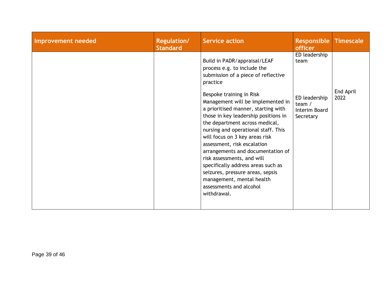| Improvement needed | <b>Regulation/</b><br><b>Standard</b> | <b>Service action</b>                                                                                                                                                                                                                                                                                                                                                                                                                                                                                                                                                                                                        | <b>Responsible</b><br><b>officer</b>                                             | <b>Timescale</b>  |
|--------------------|---------------------------------------|------------------------------------------------------------------------------------------------------------------------------------------------------------------------------------------------------------------------------------------------------------------------------------------------------------------------------------------------------------------------------------------------------------------------------------------------------------------------------------------------------------------------------------------------------------------------------------------------------------------------------|----------------------------------------------------------------------------------|-------------------|
|                    |                                       | Build in PADR/appraisal/LEAF<br>process e.g. to include the<br>submission of a piece of reflective<br>practice<br>Bespoke training in Risk<br>Management will be implemented in<br>a prioritised manner, starting with<br>those in key leadership positions in<br>the department across medical,<br>nursing and operational staff. This<br>will focus on 3 key areas risk<br>assessment, risk escalation<br>arrangements and documentation of<br>risk assessments, and will<br>specifically address areas such as<br>seizures, pressure areas, sepsis<br>management, mental health<br>assessments and alcohol<br>withdrawal. | ED leadership<br>team<br>ED leadership<br>team $/$<br>Interim Board<br>Secretary | End April<br>2022 |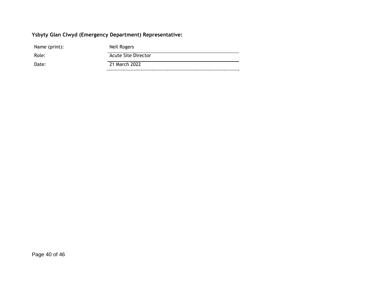## **Ysbyty Glan Clwyd (Emergency Department) Representative:**

| Name (print): | Neil Rogers                |
|---------------|----------------------------|
| Role:         | <b>Acute Site Director</b> |
| Date:         | 21 March 2022              |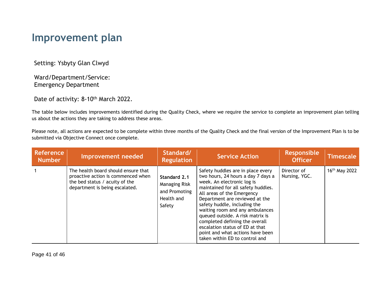## **Improvement plan**

Setting: Ysbyty Glan Clwyd

Ward/Department/Service: Emergency Department

Date of activity: 8-10<sup>th</sup> March 2022.

The table below includes improvements identified during the Quality Check, where we require the service to complete an improvement plan telling us about the actions they are taking to address these areas.

Please note, all actions are expected to be complete within three months of the Quality Check and the final version of the Improvement Plan is to be submitted via Objective Connect once complete.

| <b>Reference</b><br><b>Number</b> | Improvement needed                                                                                                                            | Standard/<br><b>Regulation</b>                                                | <b>Service Action</b>                                                                                                                                                                                                                                                                                                                                                                                                                                         | <b>Responsible</b><br><b>Officer</b> | <b>Timescale</b>          |
|-----------------------------------|-----------------------------------------------------------------------------------------------------------------------------------------------|-------------------------------------------------------------------------------|---------------------------------------------------------------------------------------------------------------------------------------------------------------------------------------------------------------------------------------------------------------------------------------------------------------------------------------------------------------------------------------------------------------------------------------------------------------|--------------------------------------|---------------------------|
|                                   | The health board should ensure that<br>proactive action is commenced when<br>the bed status / acuity of the<br>department is being escalated. | Standard 2.1<br><b>Managing Risk</b><br>and Promoting<br>Health and<br>Safety | Safety huddles are in place every<br>two hours, 24 hours a day 7 days a<br>week. An electronic log is<br>maintained for all safety huddles.<br>All areas of the Emergency<br>Department are reviewed at the<br>safety huddle, including the<br>waiting room and any ambulances<br>queued outside. A risk matrix is<br>completed defining the overall<br>escalation status of ED at that<br>point and what actions have been<br>taken within ED to control and | Director of<br>Nursing, YGC.         | 16 <sup>th</sup> May 2022 |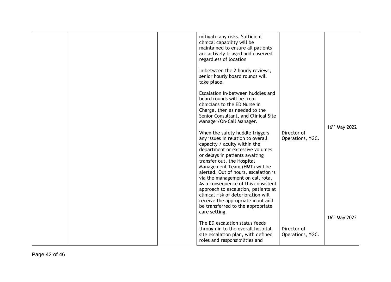| mitigate any risks. Sufficient<br>clinical capability will be<br>maintained to ensure all patients<br>are actively triaged and observed<br>regardless of location                                                                                                                                                                                                                                                                                                                                                                    |                                 |                           |
|--------------------------------------------------------------------------------------------------------------------------------------------------------------------------------------------------------------------------------------------------------------------------------------------------------------------------------------------------------------------------------------------------------------------------------------------------------------------------------------------------------------------------------------|---------------------------------|---------------------------|
| In between the 2 hourly reviews,<br>senior hourly board rounds will<br>take place.                                                                                                                                                                                                                                                                                                                                                                                                                                                   |                                 |                           |
| Escalation in-between huddles and<br>board rounds will be from<br>clinicians to the ED Nurse in<br>Charge, then as needed to the<br>Senior Consultant, and Clinical Site<br>Manager/On-Call Manager.                                                                                                                                                                                                                                                                                                                                 |                                 |                           |
|                                                                                                                                                                                                                                                                                                                                                                                                                                                                                                                                      |                                 | $16th$ May 2022           |
| When the safety huddle triggers<br>any issues in relation to overall<br>capacity / acuity within the<br>department or excessive volumes<br>or delays in patients awaiting<br>transfer out, the Hospital<br>Management Team (HMT) will be<br>alerted. Out of hours, escalation is<br>via the management on call rota.<br>As a consequence of this consistent<br>approach to escalation, patients at<br>clinical risk of deterioration will<br>receive the appropriate input and<br>be transferred to the appropriate<br>care setting. | Director of<br>Operations, YGC. |                           |
| The ED escalation status feeds<br>through in to the overall hospital                                                                                                                                                                                                                                                                                                                                                                                                                                                                 | Director of                     | 16 <sup>th</sup> May 2022 |
| site escalation plan, with defined<br>roles and responsibilities and                                                                                                                                                                                                                                                                                                                                                                                                                                                                 | Operations, YGC.                |                           |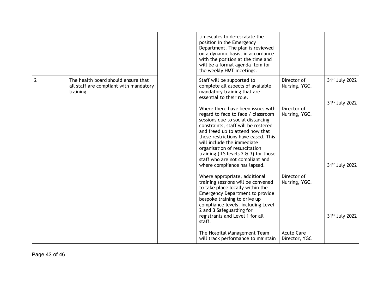|                |                                                                                           | timescales to de-escalate the<br>position in the Emergency<br>Department. The plan is reviewed<br>on a dynamic basis, in accordance<br>with the position at the time and<br>will be a formal agenda item for<br>the weekly HMT meetings.                                                                                                                                                                         |                                    |                                                          |
|----------------|-------------------------------------------------------------------------------------------|------------------------------------------------------------------------------------------------------------------------------------------------------------------------------------------------------------------------------------------------------------------------------------------------------------------------------------------------------------------------------------------------------------------|------------------------------------|----------------------------------------------------------|
| $\overline{2}$ | The health board should ensure that<br>all staff are compliant with mandatory<br>training | Staff will be supported to<br>complete all aspects of available<br>mandatory training that are<br>essential to their role.                                                                                                                                                                                                                                                                                       | Director of<br>Nursing, YGC.       | 31 <sup>st</sup> July 2022                               |
|                |                                                                                           | Where there have been issues with<br>regard to face to face / classroom<br>sessions due to social distancing<br>constraints, staff will be rostered<br>and freed up to attend now that<br>these restrictions have eased. This<br>will include the immediate<br>organisation of resuscitation<br>training (ILS levels $2 \notin 3$ ) for those<br>staff who are not compliant and<br>where compliance has lapsed. | Director of<br>Nursing, YGC.       | 31 <sup>st</sup> July 2022<br>31 <sup>st</sup> July 2022 |
|                |                                                                                           | Where appropriate, additional<br>training sessions will be convened<br>to take place locally within the<br>Emergency Department to provide<br>bespoke training to drive up<br>compliance levels, including Level<br>2 and 3 Safeguarding for<br>registrants and Level 1 for all<br>staff.                                                                                                                        | Director of<br>Nursing, YGC.       | 31 <sup>st</sup> July 2022                               |
|                |                                                                                           | The Hospital Management Team<br>will track performance to maintain                                                                                                                                                                                                                                                                                                                                               | <b>Acute Care</b><br>Director, YGC |                                                          |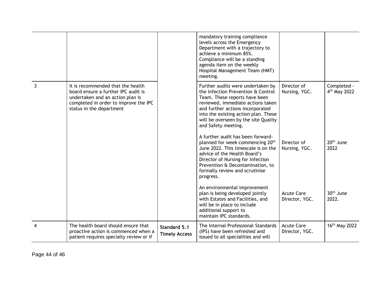|                |                                                                                                                                                                                   |                                      | mandatory training compliance<br>levels across the Emergency<br>Department with a trajectory to<br>achieve a minimum 85%.<br>Compliance will be a standing<br>agenda item on the weekly<br>Hospital Management Team (HMT)<br>meeting.                                                    |                                     |                                         |
|----------------|-----------------------------------------------------------------------------------------------------------------------------------------------------------------------------------|--------------------------------------|------------------------------------------------------------------------------------------------------------------------------------------------------------------------------------------------------------------------------------------------------------------------------------------|-------------------------------------|-----------------------------------------|
| 3              | It is recommended that the health<br>board ensure a further IPC audit is<br>undertaken and an action plan is<br>completed in order to improve the IPC<br>status in the department |                                      | Further audits were undertaken by<br>the Infection Prevention & Control<br>Team. These reports have been<br>reviewed, immediate actions taken<br>and further actions incorporated<br>into the existing action plan. These<br>will be overseen by the site Quality<br>and Safety meeting. | Director of<br>Nursing, YGC.        | Completed -<br>4 <sup>th</sup> May 2022 |
|                |                                                                                                                                                                                   |                                      | A further audit has been forward-<br>planned for week commencing 20 <sup>th</sup><br>June 2022. This timescale is on the<br>advice of the Health Board's<br>Director of Nursing for Infection<br>Prevention & Decontamination, to<br>formally review and scrutinise<br>progress.         | Director of<br>Nursing, YGC.        | 20 <sup>th</sup> June<br>2022           |
|                |                                                                                                                                                                                   |                                      | An environmental improvement<br>plan is being developed jointly<br>with Estates and Facilities, and<br>will be in place to include<br>additional support to<br>maintain IPC standards.                                                                                                   | <b>Acute Care</b><br>Director, YGC. | 30 <sup>th</sup> June<br>2022.          |
| $\overline{4}$ | The health board should ensure that<br>proactive action is commenced when a<br>patient requires specialty review or if                                                            | Standard 5.1<br><b>Timely Access</b> | The Internal Professional Standards<br>(IPS) have been refreshed and<br>issued to all specialities and will                                                                                                                                                                              | <b>Acute Care</b><br>Director, YGC. | 16 <sup>th</sup> May 2022               |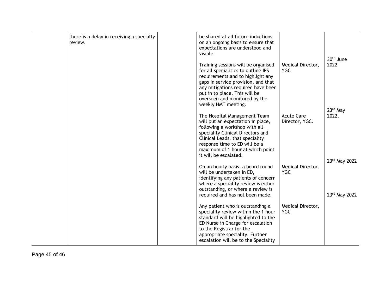| there is a delay in receiving a specialty<br>review. | be shared at all future inductions<br>on an ongoing basis to ensure that<br>expectations are understood and<br>visible.                                                                                                                                                               |                                     | 30 <sup>th</sup> June          |
|------------------------------------------------------|---------------------------------------------------------------------------------------------------------------------------------------------------------------------------------------------------------------------------------------------------------------------------------------|-------------------------------------|--------------------------------|
|                                                      | Training sessions will be organised<br>for all specialities to outline IPS<br>requirements and to highlight any<br>gaps in service provision, and that<br>any mitigations required have been<br>put in to place. This will be<br>overseen and monitored by the<br>weekly HMT meeting. | Medical Director,<br><b>YGC</b>     | 2022                           |
|                                                      | The Hospital Management Team<br>will put an expectation in place,<br>following a workshop with all<br>speciality Clinical Directors and<br>Clinical Leads, that speciality<br>response time to ED will be a<br>maximum of 1 hour at which point<br>it will be escalated.              | <b>Acute Care</b><br>Director, YGC. | 23rd May<br>2022.              |
|                                                      | On an hourly basis, a board round<br>will be undertaken in ED,<br>identifying any patients of concern<br>where a speciality review is either<br>outstanding, or where a review is<br>required and has not been made.                                                                  | Medical Director.<br><b>YGC</b>     | 23rd May 2022<br>23rd May 2022 |
|                                                      | Any patient who is outstanding a<br>speciality review within the 1 hour<br>standard will be highlighted to the<br>ED Nurse in Charge for escalation<br>to the Registrar for the<br>appropriate speciality. Further<br>escalation will be to the Speciality                            | Medical Director,<br><b>YGC</b>     |                                |